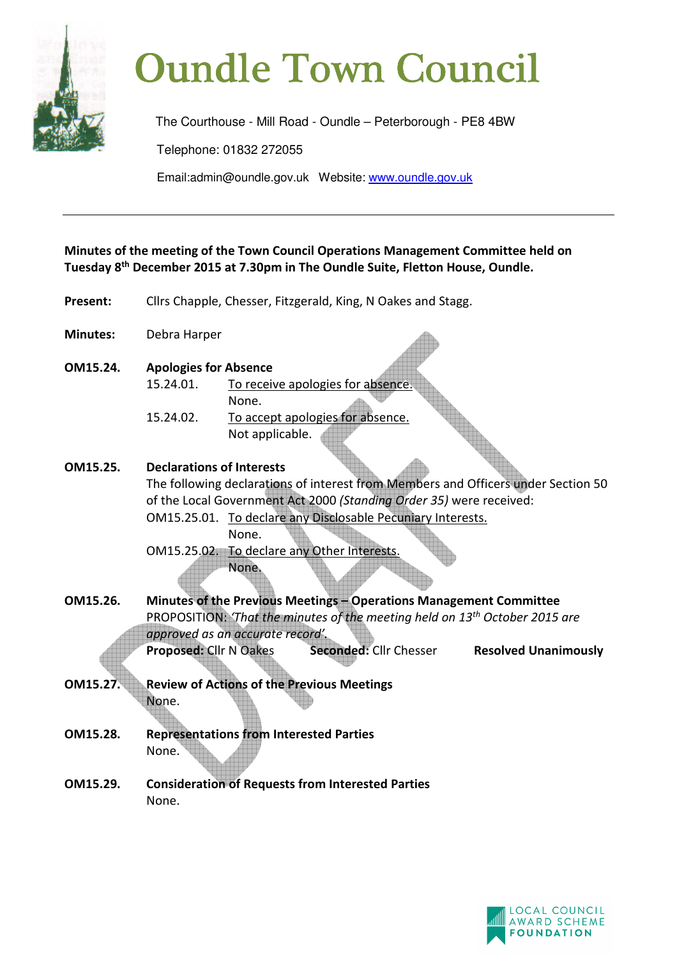

# **Oundle Town Council**

The Courthouse - Mill Road - Oundle – Peterborough - PE8 4BW Telephone: 01832 272055 Email:admin@oundle.gov.uk Website: www.oundle.gov.uk

**Minutes of the meeting of the Town Council Operations Management Committee held on Tuesday 8th December 2015 at 7.30pm in The Oundle Suite, Fletton House, Oundle.** 

- Present: Cllrs Chapple, Chesser, Fitzgerald, King, N Oakes and Stagg.
- **Minutes:** Debra Harper
- **OM15.24. Apologies for Absence** 15.24.01. To receive apologies for absence. None. 15.24.02. To accept apologies for absence. Not applicable.

# **OM15.25. Declarations of Interests**

The following declarations of interest from Members and Officers under Section 50 of the Local Government Act 2000 *(Standing Order 35)* were received: OM15.25.01. To declare any Disclosable Pecuniary Interests.

 None. OM15.25.02. To declare any Other Interests. None.

- **OM15.26. Minutes of the Previous Meetings Operations Management Committee**  PROPOSITION: *'That the minutes of the meeting held on 13th October 2015 are approved as an accurate record'.* **Proposed:** Cllr N Oakes **Seconded:** Cllr Chesser **Resolved Unanimously**
- **OM15.27. Review of Actions of the Previous Meetings** None.
- **OM15.28. Representations from Interested Parties**  None.
- **OM15.29. Consideration of Requests from Interested Parties** None.

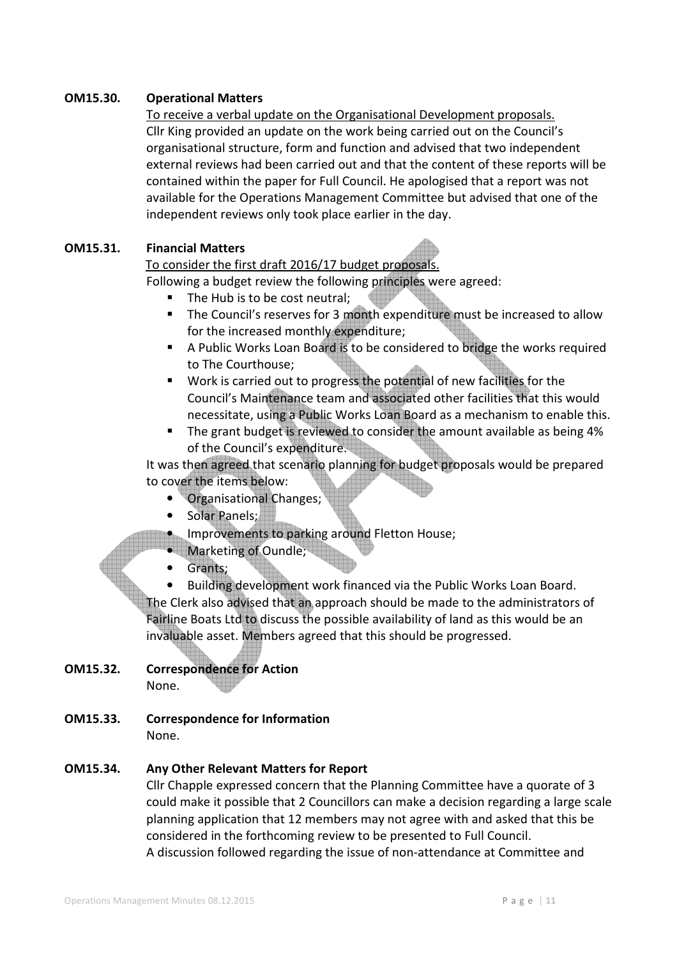# **OM15.30. Operational Matters**

#### To receive a verbal update on the Organisational Development proposals.

 Cllr King provided an update on the work being carried out on the Council's organisational structure, form and function and advised that two independent external reviews had been carried out and that the content of these reports will be contained within the paper for Full Council. He apologised that a report was not available for the Operations Management Committee but advised that one of the independent reviews only took place earlier in the day.

#### **OM15.31. Financial Matters**

## To consider the first draft 2016/17 budget proposals.

Following a budget review the following principles were agreed:

- The Hub is to be cost neutral;
- The Council's reserves for 3 month expenditure must be increased to allow for the increased monthly expenditure;
- A Public Works Loan Board is to be considered to bridge the works required to The Courthouse;
- Work is carried out to progress the potential of new facilities for the Council's Maintenance team and associated other facilities that this would necessitate, using a Public Works Loan Board as a mechanism to enable this.
- The grant budget is reviewed to consider the amount available as being 4% of the Council's expenditure.

It was then agreed that scenario planning for budget proposals would be prepared to cover the items below:

- Organisational Changes;
- Solar Panels;
- Improvements to parking around Fletton House;
- Marketing of Oundle;
- Grants;

• Building development work financed via the Public Works Loan Board. The Clerk also advised that an approach should be made to the administrators of Fairline Boats Ltd to discuss the possible availability of land as this would be an invaluable asset. Members agreed that this should be progressed.

## **OM15.32. Correspondence for Action**  None.

**OM15.33. Correspondence for Information** 

None.

## **OM15.34. Any Other Relevant Matters for Report**

Cllr Chapple expressed concern that the Planning Committee have a quorate of 3 could make it possible that 2 Councillors can make a decision regarding a large scale planning application that 12 members may not agree with and asked that this be considered in the forthcoming review to be presented to Full Council. A discussion followed regarding the issue of non-attendance at Committee and